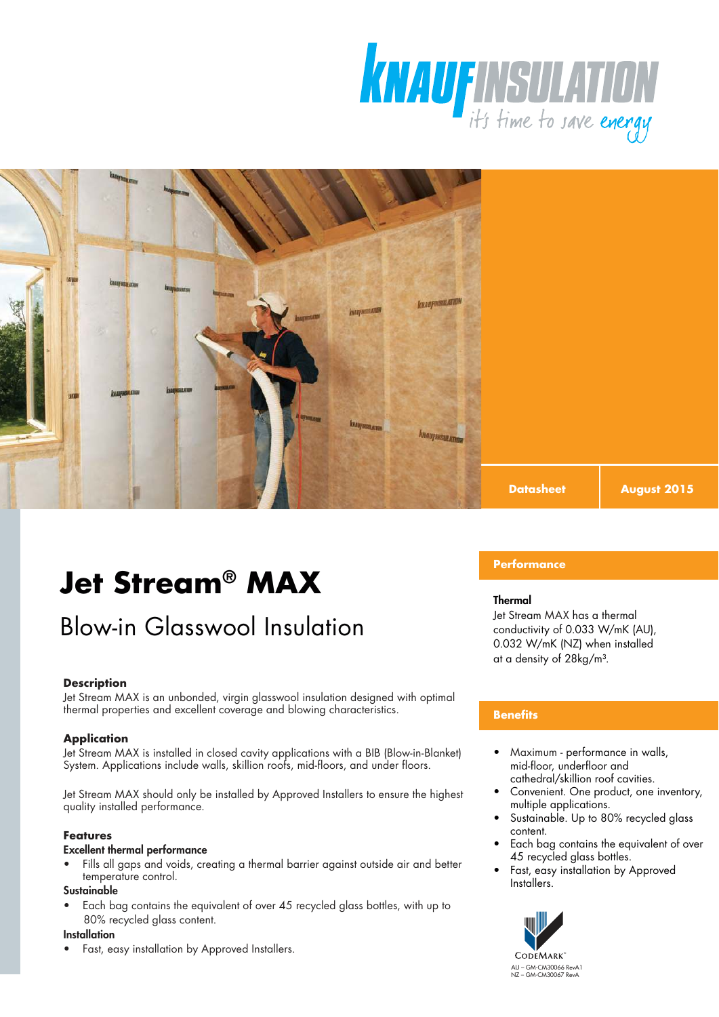



# Blow-in Glasswool Insulation

#### **Description**

Jet Stream MAX is an unbonded, virgin glasswool insulation designed with optimal thermal properties and excellent coverage and blowing characteristics.

#### **Application**

Jet Stream MAX is installed in closed cavity applications with a BIB (Blow-in-Blanket) System. Applications include walls, skillion roofs, mid-floors, and under floors.

Jet Stream MAX should only be installed by Approved Installers to ensure the highest quality installed performance.

#### **Features**

#### Excellent thermal performance

Fills all gaps and voids, creating a thermal barrier against outside air and better temperature control.

#### **Sustainable**

• Each bag contains the equivalent of over 45 recycled glass bottles, with up to 80% recycled glass content.

#### **Installation**

• Fast, easy installation by Approved Installers.

### **Performance**

#### Thermal

Jet Stream MAX has a thermal conductivity of 0.033 W/mK (AU), 0.032 W/mK (NZ) when installed at a density of 28kg/m<sup>3</sup>.

**August 2015**

#### **Benefits**

- Maximum performance in walls, mid-floor, underfloor and cathedral/skillion roof cavities.
- Convenient. One product, one inventory, multiple applications.
- Sustainable. Up to 80% recycled glass content.
- Each bag contains the equivalent of over 45 recycled glass bottles.
- Fast, easy installation by Approved Installers.

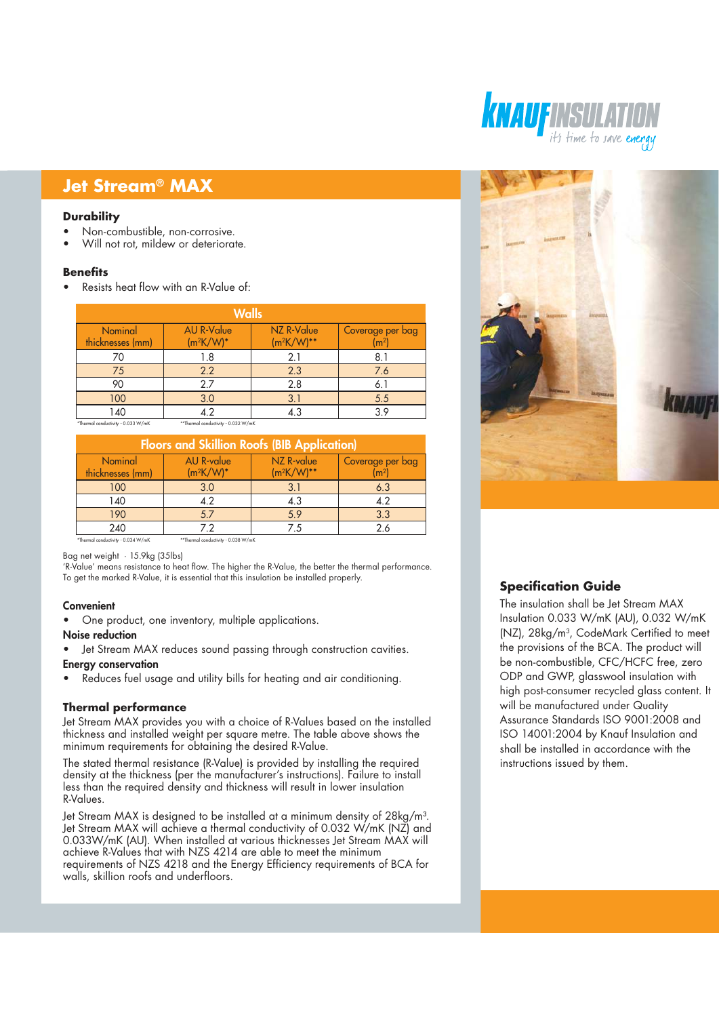#### **Durability**

- Non-combustible, non-corrosive.
- Will not rot, mildew or deteriorate.

#### **Benefits**

• Resists heat flow with an R-Value of:

| <b>Walls</b>                    |                                   |                             |                                      |  |
|---------------------------------|-----------------------------------|-----------------------------|--------------------------------------|--|
| Nominal<br>thicknesses (mm)     | <b>AU R-Value</b><br>$(m^2K/W)^*$ | NZ R-Value<br>$(m^2K/W)$ ** | Coverage per bag<br>$\mathsf{(m^2)}$ |  |
|                                 | 1.8                               | 2.1                         | 8.1                                  |  |
| 75                              | 2.2                               | 2.3                         | 7.6                                  |  |
| 90                              | 2.7                               | 2.8                         | 6.1                                  |  |
| 100                             | 3.0                               | 3.1                         | 5.5                                  |  |
| 140<br>and it is a concerned to | 4.2                               | 4.3                         | 3.9                                  |  |

\*Thermal conductivity - 0.033 W/mK \*\*Thermal conductivity - 0.032 W/mK

| <b>Floors and Skillion Roofs (BIB Application)</b> |                                     |                               |                                    |  |
|----------------------------------------------------|-------------------------------------|-------------------------------|------------------------------------|--|
| Nominal<br>thicknesses (mm)                        | <b>AU R-value</b><br>$(m^2K/W)^*$   | NZ R-value<br>$(m^2K/W)^{**}$ | Coverage per bag<br>$\mathsf{m}^2$ |  |
| 100                                                | 3.0                                 | 3.1                           | 6.3                                |  |
| 140                                                | 4.2                                 | 4.3                           | 4.2                                |  |
| 190                                                | 5.7                                 | 5.9                           | 3.3                                |  |
| 240                                                | 72                                  | 75                            | 26                                 |  |
| *Thermal conductivity - 0.034 W/mK                 | **Thermal conductivity - 0.038 W/mK |                               |                                    |  |

Bag net weight · 15.9kg (35lbs)

'R-Value' means resistance to heat flow. The higher the R-Value, the better the thermal performance. To get the marked R-Value, it is essential that this insulation be installed properly.

#### Convenient

• One product, one inventory, multiple applications.

#### Noise reduction

Jet Stream MAX reduces sound passing through construction cavities.

### Energy conservation

• Reduces fuel usage and utility bills for heating and air conditioning.

#### **Thermal performance**

Jet Stream MAX provides you with a choice of R-Values based on the installed thickness and installed weight per square metre. The table above shows the minimum requirements for obtaining the desired R-Value.

The stated thermal resistance (R-Value) is provided by installing the required density at the thickness (per the manufacturer's instructions). Failure to install less than the required density and thickness will result in lower insulation R-Values.

Jet Stream MAX is designed to be installed at a minimum density of 28kg/m<sup>3</sup>. Jet Stream MAX will achieve a thermal conductivity of 0.032 W/mK (NZ) and 0.033W/mK (AU). When installed at various thicknesses Jet Stream MAX will achieve R-Values that with NZS 4214 are able to meet the minimum requirements of NZS 4218 and the Energy Efficiency requirements of BCA for walls, skillion roofs and underfloors.





## **Specification Guide**

The insulation shall be Jet Stream MAX Insulation 0.033 W/mK (AU), 0.032 W/mK (NZ), 28kg/m<sup>3</sup> , CodeMark Certified to meet the provisions of the BCA. The product will be non-combustible, CFC/HCFC free, zero ODP and GWP, glasswool insulation with high post-consumer recycled glass content. It will be manufactured under Quality Assurance Standards ISO 9001:2008 and ISO 14001:2004 by Knauf Insulation and shall be installed in accordance with the instructions issued by them.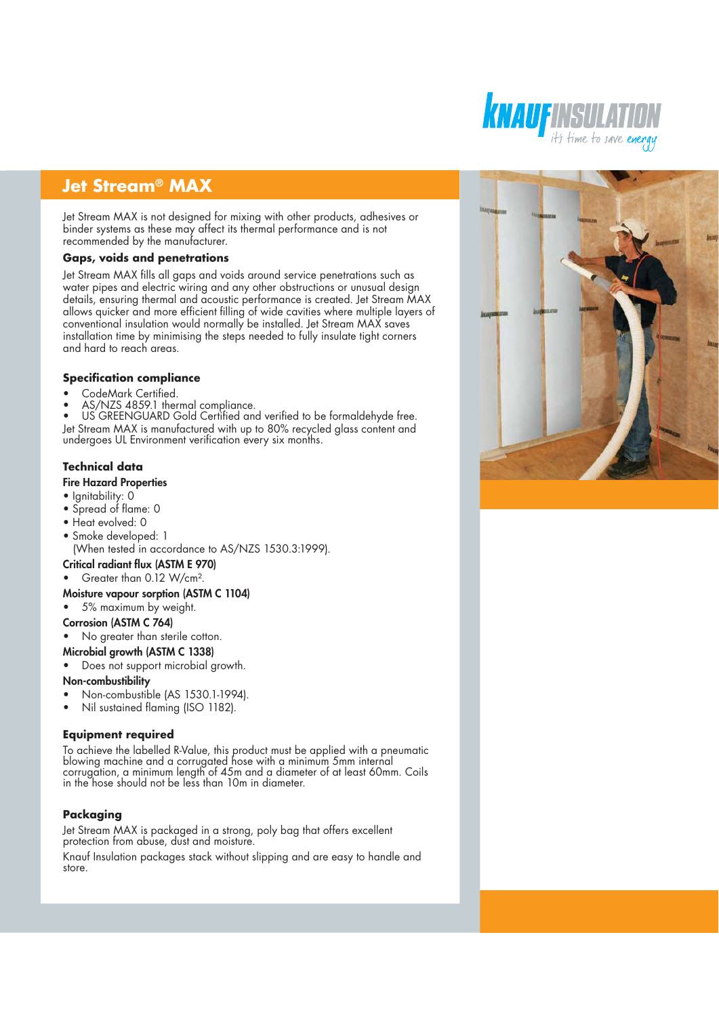Jet Stream MAX is not designed for mixing with other products, adhesives or binder systems as these may affect its thermal performance and is not recommended by the manufacturer.

#### **Gaps, voids and penetrations**

Jet Stream MAX fills all gaps and voids around service penetrations such as water pipes and electric wiring and any other obstructions or unusual design details, ensuring thermal and acoustic performance is created. Jet Stream MAX allows quicker and more efficient filling of wide cavities where multiple layers of conventional insulation would normally be installed. Jet Stream MAX saves installation time by minimising the steps needed to fully insulate tight corners and hard to reach areas.

#### **Specification compliance**

- CodeMark Certified.
- AS/NZS 4859.1 thermal compliance.

US GREENGUARD Gold Certified and verified to be formaldehyde free. Jet Stream MAX is manufactured with up to 80% recycled glass content and undergoes UL Environment verification every six months.

# **Technical data**

### Fire Hazard Properties

- Ignitability: 0
- Spread of flame: 0
- Heat evolved: 0
- Smoke developed: 1

(When tested in accordance to AS/NZS 1530.3:1999).

#### Critical radiant flux (ASTM E 970)

• Greater than 0.12 W/cm².

#### Moisture vapour sorption (ASTM C 1104)

• 5% maximum by weight.

#### Corrosion (ASTM C 764)

• No greater than sterile cotton.

#### Microbial growth (ASTM C 1338)

Does not support microbial growth.

#### Non-combustibility

- Non-combustible (AS 1530.1-1994).
- Nil sustained flaming (ISO 1182).

#### **Equipment required**

To achieve the labelled R-Value, this product must be applied with a pneumatic blowing machine and a corrugated hose with a minimum 5mm internal corrugation, a minimum length of 45m and a diameter of at least 60mm. Coils in the hose should not be less than 10m in diameter.

#### **Packaging**

Jet Stream MAX is packaged in a strong, poly bag that offers excellent protection from abuse, dust and moisture.

Knauf Insulation packages stack without slipping and are easy to handle and store.